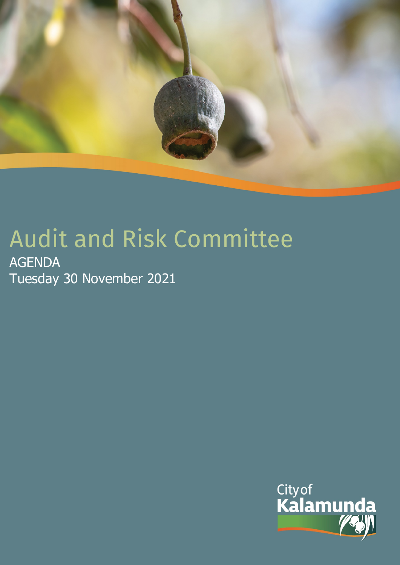

# Audit and Risk Committee

AGENDA Tuesday 30 November 2021

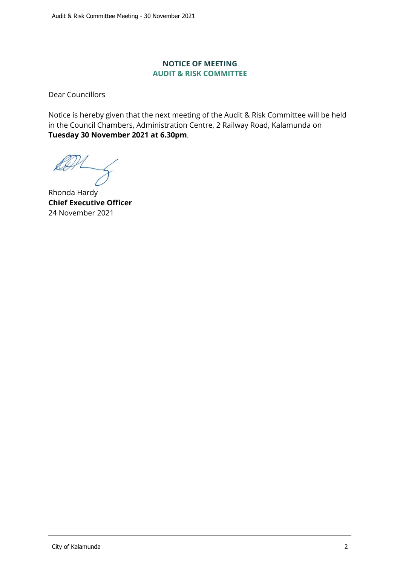#### **NOTICE OF MEETING AUDIT & RISK COMMITTEE**

Dear Councillors

Notice is hereby given that the next meeting of the Audit & Risk Committee will be held in the Council Chambers, Administration Centre, 2 Railway Road, Kalamunda on **Tuesday 30 November 2021 at 6.30pm**.

Rhonda Hardy **Chief Executive Officer** 24 November 2021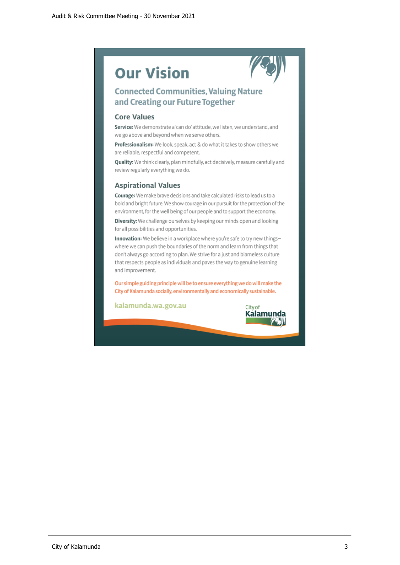## **Our Vision**



#### **Connected Communities, Valuing Nature** and Creating our Future Together

#### **Core Values**

Service: We demonstrate a 'can do' attitude, we listen, we understand, and we go above and beyond when we serve others.

Professionalism: We look, speak, act & do what it takes to show others we are reliable, respectful and competent.

Quality: We think clearly, plan mindfully, act decisively, measure carefully and review regularly everything we do.

#### **Aspirational Values**

Courage: We make brave decisions and take calculated risks to lead us to a bold and bright future. We show courage in our pursuit for the protection of the environment, for the well being of our people and to support the economy.

Diversity: We challenge ourselves by keeping our minds open and looking for all possibilities and opportunities.

Innovation: We believe in a workplace where you're safe to try new thingswhere we can push the boundaries of the norm and learn from things that don't always go according to plan. We strive for a just and blameless culture that respects people as individuals and paves the way to genuine learning and improvement.

Our simple guiding principle will be to ensure everything we do will make the City of Kalamunda socially, environmentally and economically sustainable.

kalamunda.wa.gov.au

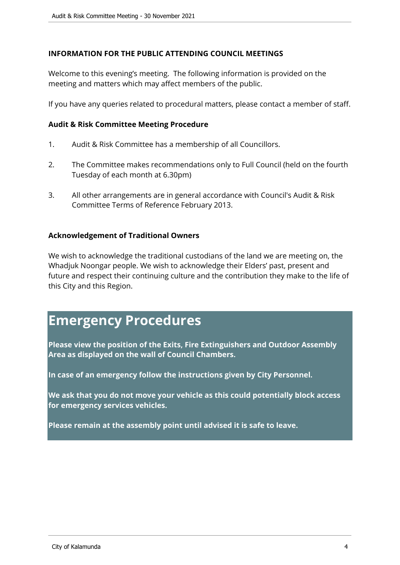#### **INFORMATION FOR THE PUBLIC ATTENDING COUNCIL MEETINGS**

Welcome to this evening's meeting. The following information is provided on the meeting and matters which may affect members of the public.

If you have any queries related to procedural matters, please contact a member of staff.

#### **Audit & Risk Committee Meeting Procedure**

- 1. Audit & Risk Committee has a membership of all Councillors.
- 2. The Committee makes recommendations only to Full Council (held on the fourth Tuesday of each month at 6.30pm)
- 3. All other arrangements are in general accordance with Council's Audit & Risk Committee Terms of Reference February 2013.

#### **Acknowledgement of Traditional Owners**

We wish to acknowledge the traditional custodians of the land we are meeting on, the Whadjuk Noongar people. We wish to acknowledge their Elders' past, present and future and respect their continuing culture and the contribution they make to the life of this City and this Region.

### **Emergency Procedures**

**Please view the position of the Exits, Fire Extinguishers and Outdoor Assembly Area as displayed on the wall of Council Chambers.**

**In case of an emergency follow the instructions given by City Personnel.** 

**We ask that you do not move your vehicle as this could potentially block access for emergency services vehicles.**

**Please remain at the assembly point until advised it is safe to leave.**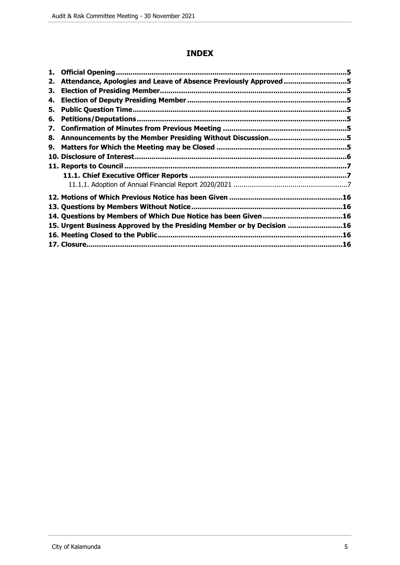#### **INDEX**

| 1. |                                                                        |  |
|----|------------------------------------------------------------------------|--|
| 2. | Attendance, Apologies and Leave of Absence Previously Approved 5       |  |
| З. |                                                                        |  |
| 4. |                                                                        |  |
| 5. |                                                                        |  |
| 6. |                                                                        |  |
| 7. |                                                                        |  |
| 8. |                                                                        |  |
| 9. |                                                                        |  |
|    |                                                                        |  |
|    |                                                                        |  |
|    |                                                                        |  |
|    |                                                                        |  |
|    |                                                                        |  |
|    | 13. Questions by Members Without Notice                                |  |
|    |                                                                        |  |
|    | 15. Urgent Business Approved by the Presiding Member or by Decision 16 |  |
|    |                                                                        |  |
|    |                                                                        |  |
|    |                                                                        |  |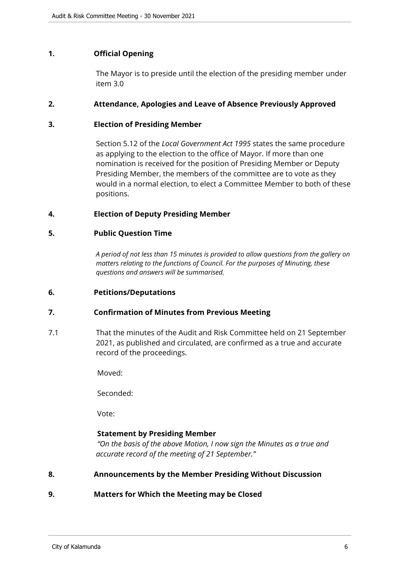#### <span id="page-5-0"></span>**1. Official Opening**

The Mayor is to preside until the election of the presiding member under item 3.0

#### <span id="page-5-1"></span>**2. Attendance, Apologies and Leave of Absence Previously Approved**

#### <span id="page-5-2"></span>**3. Election of Presiding Member**

Section 5.12 of the *Local Government Act 1995* states the same procedure as applying to the election to the office of Mayor. If more than one nomination is received for the position of Presiding Member or Deputy Presiding Member, the members of the committee are to vote as they would in a normal election, to elect a Committee Member to both of these positions.

#### <span id="page-5-3"></span>**4. Election of Deputy Presiding Member**

#### <span id="page-5-4"></span>**5. Public Question Time**

*A period of not less than 15 minutes is provided to allow questions from the gallery on matters relating to the functions of Council. For the purposes of Minuting, these questions and answers will be summarised.*

#### <span id="page-5-5"></span>**6. Petitions/Deputations**

#### <span id="page-5-6"></span>**7. Confirmation of Minutes from Previous Meeting**

7.1 That the minutes of the Audit and Risk Committee held on 21 September 2021, as published and circulated, are confirmed as a true and accurate record of the proceedings.

Moved:

Seconded:

Vote:

#### **Statement by Presiding Member**

*"On the basis of the above Motion, I now sign the Minutes as a true and accurate record of the meeting of 21 September."*

- <span id="page-5-7"></span>**8. Announcements by the Member Presiding Without Discussion**
- <span id="page-5-8"></span>**9. Matters for Which the Meeting may be Closed**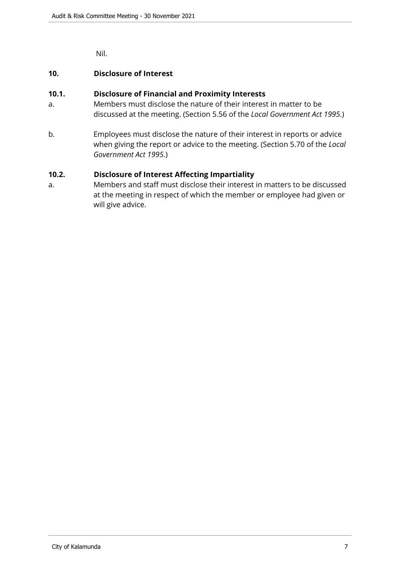Nil.

#### <span id="page-6-0"></span>**10. Disclosure of Interest**

#### **10.1. Disclosure of Financial and Proximity Interests**

- a. Members must disclose the nature of their interest in matter to be discussed at the meeting. (Section 5.56 of the *Local Government Act 1995*.)
- b. Employees must disclose the nature of their interest in reports or advice when giving the report or advice to the meeting. (Section 5.70 of the *Local Government Act 1995*.)

#### **10.2. Disclosure of Interest Affecting Impartiality**

a. Members and staff must disclose their interest in matters to be discussed at the meeting in respect of which the member or employee had given or will give advice.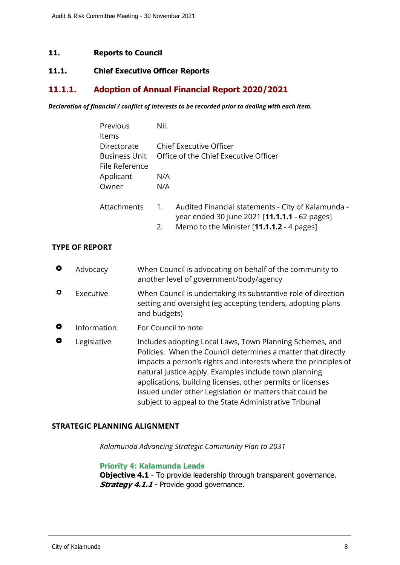#### <span id="page-7-0"></span>**11. Reports to Council**

#### <span id="page-7-1"></span>**11.1. Chief Executive Officer Reports**

#### <span id="page-7-2"></span>**11.1.1. Adoption of Annual Financial Report 2020/2021**

*Declaration of financial / conflict of interests to be recorded prior to dealing with each item.*

|                  | Previous<br>Items                    |  | Nil.                                                                                                                                                                                                                                                                                                                                                                                                                                    |                                                                                                     |  |
|------------------|--------------------------------------|--|-----------------------------------------------------------------------------------------------------------------------------------------------------------------------------------------------------------------------------------------------------------------------------------------------------------------------------------------------------------------------------------------------------------------------------------------|-----------------------------------------------------------------------------------------------------|--|
|                  | Directorate<br><b>Business Unit</b>  |  |                                                                                                                                                                                                                                                                                                                                                                                                                                         | <b>Chief Executive Officer</b><br>Office of the Chief Executive Officer                             |  |
|                  | File Reference<br>Applicant<br>Owner |  | N/A<br>N/A                                                                                                                                                                                                                                                                                                                                                                                                                              |                                                                                                     |  |
|                  | Attachments                          |  | 1.                                                                                                                                                                                                                                                                                                                                                                                                                                      | Audited Financial statements - City of Kalamunda -<br>year ended 30 June 2021 [11.1.1.1 - 62 pages] |  |
|                  |                                      |  | 2.                                                                                                                                                                                                                                                                                                                                                                                                                                      | Memo to the Minister [11.1.1.2 - 4 pages]                                                           |  |
|                  | <b>TYPE OF REPORT</b>                |  |                                                                                                                                                                                                                                                                                                                                                                                                                                         |                                                                                                     |  |
| $\bullet$        | Advocacy                             |  |                                                                                                                                                                                                                                                                                                                                                                                                                                         | When Council is advocating on behalf of the community to<br>another level of government/body/agency |  |
| ۰<br>Executive   |                                      |  | When Council is undertaking its substantive role of direction<br>setting and oversight (eg accepting tenders, adopting plans<br>and budgets)                                                                                                                                                                                                                                                                                            |                                                                                                     |  |
| $\bullet$        | Information                          |  | For Council to note                                                                                                                                                                                                                                                                                                                                                                                                                     |                                                                                                     |  |
| 0<br>Legislative |                                      |  | Includes adopting Local Laws, Town Planning Schemes, and<br>Policies. When the Council determines a matter that directly<br>impacts a person's rights and interests where the principles of<br>natural justice apply. Examples include town planning<br>applications, building licenses, other permits or licenses<br>issued under other Legislation or matters that could be<br>subject to appeal to the State Administrative Tribunal |                                                                                                     |  |

#### **STRATEGIC PLANNING ALIGNMENT**

*Kalamunda Advancing Strategic Community Plan to 2031*

**Priority 4: Kalamunda Leads**

**Objective 4.1** - To provide leadership through transparent governance. **Strategy 4.1.1** - Provide good governance.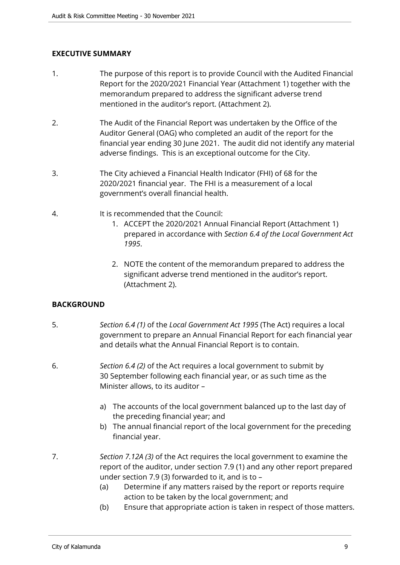#### **EXECUTIVE SUMMARY**

- 1. The purpose of this report is to provide Council with the Audited Financial Report for the 2020/2021 Financial Year (Attachment 1) together with the memorandum prepared to address the significant adverse trend mentioned in the auditor's report. (Attachment 2).
- 2. The Audit of the Financial Report was undertaken by the Office of the Auditor General (OAG) who completed an audit of the report for the financial year ending 30 June 2021. The audit did not identify any material adverse findings. This is an exceptional outcome for the City.
- 3. The City achieved a Financial Health Indicator (FHI) of 68 for the 2020/2021 financial year. The FHI is a measurement of a local government's overall financial health.
- 4. It is recommended that the Council:
	- 1. ACCEPT the 2020/2021 Annual Financial Report (Attachment 1) prepared in accordance with *Section 6.4 of the Local Government Act 1995*.
	- 2. NOTE the content of the memorandum prepared to address the significant adverse trend mentioned in the auditor's report. (Attachment 2).

#### **BACKGROUND**

- 5. *Section 6.4 (1)* of the *Local Government Act 1995* (The Act) requires a local government to prepare an Annual Financial Report for each financial year and details what the Annual Financial Report is to contain.
- 6. *Section 6.4 (2)* of the Act requires a local government to submit by 30 September following each financial year, or as such time as the Minister allows, to its auditor –
	- a) The accounts of the local government balanced up to the last day of the preceding financial year; and
	- b) The annual financial report of the local government for the preceding financial year.
- 7. *Section 7.12A (3)* of the Act requires the local government to examine the report of the auditor, under section 7.9 (1) and any other report prepared under section 7.9 (3) forwarded to it, and is to –
	- (a) Determine if any matters raised by the report or reports require action to be taken by the local government; and
	- (b) Ensure that appropriate action is taken in respect of those matters.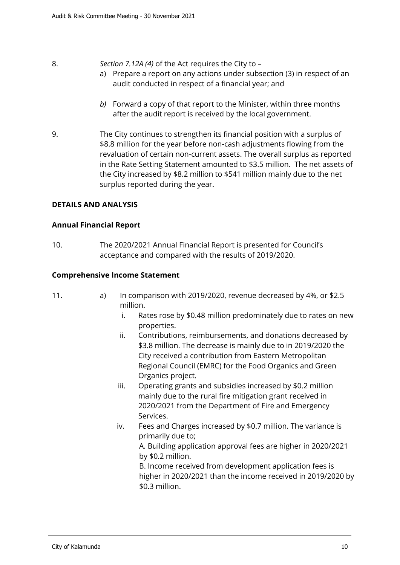#### 8. *Section 7.12A (4)* of the Act requires the City to –

- a) Prepare a report on any actions under subsection (3) in respect of an audit conducted in respect of a financial year; and
- *b)* Forward a copy of that report to the Minister, within three months after the audit report is received by the local government.
- 9. The City continues to strengthen its financial position with a surplus of \$8.8 million for the year before non-cash adjustments flowing from the revaluation of certain non-current assets. The overall surplus as reported in the Rate Setting Statement amounted to \$3.5 million. The net assets of the City increased by \$8.2 million to \$541 million mainly due to the net surplus reported during the year.

#### **DETAILS AND ANALYSIS**

#### **Annual Financial Report**

10. The 2020/2021 Annual Financial Report is presented for Council's acceptance and compared with the results of 2019/2020.

#### **Comprehensive Income Statement**

- 11. a) In comparison with 2019/2020, revenue decreased by 4%, or \$2.5 million.
	- i. Rates rose by \$0.48 million predominately due to rates on new properties.
	- ii. Contributions, reimbursements, and donations decreased by \$3.8 million. The decrease is mainly due to in 2019/2020 the City received a contribution from Eastern Metropolitan Regional Council (EMRC) for the Food Organics and Green Organics project.
	- iii. Operating grants and subsidies increased by \$0.2 million mainly due to the rural fire mitigation grant received in 2020/2021 from the Department of Fire and Emergency Services.
	- iv. Fees and Charges increased by \$0.7 million. The variance is primarily due to;

A. Building application approval fees are higher in 2020/2021 by \$0.2 million.

B. Income received from development application fees is higher in 2020/2021 than the income received in 2019/2020 by \$0.3 million.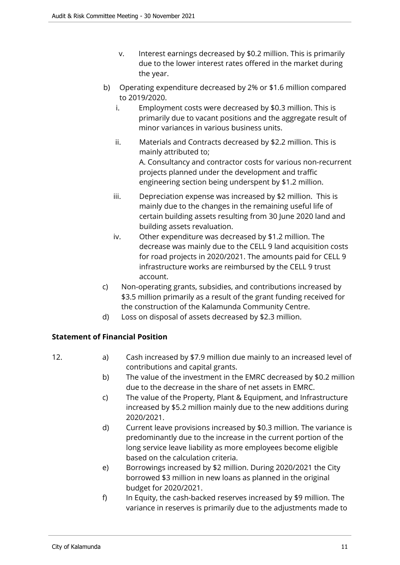- v. Interest earnings decreased by \$0.2 million. This is primarily due to the lower interest rates offered in the market during the year.
- b) Operating expenditure decreased by 2% or \$1.6 million compared to 2019/2020.
	- i. Employment costs were decreased by \$0.3 million. This is primarily due to vacant positions and the aggregate result of minor variances in various business units.
	- ii. Materials and Contracts decreased by \$2.2 million. This is mainly attributed to;

A. Consultancy and contractor costs for various non-recurrent projects planned under the development and traffic engineering section being underspent by \$1.2 million.

- iii. Depreciation expense was increased by \$2 million. This is mainly due to the changes in the remaining useful life of certain building assets resulting from 30 June 2020 land and building assets revaluation.
- iv. Other expenditure was decreased by \$1.2 million. The decrease was mainly due to the CELL 9 land acquisition costs for road projects in 2020/2021. The amounts paid for CELL 9 infrastructure works are reimbursed by the CELL 9 trust account.
- c) Non-operating grants, subsidies, and contributions increased by \$3.5 million primarily as a result of the grant funding received for the construction of the Kalamunda Community Centre.
- d) Loss on disposal of assets decreased by \$2.3 million.

#### **Statement of Financial Position**

- 12. **a**) Cash increased by \$7.9 million due mainly to an increased level of contributions and capital grants.
	- b) The value of the investment in the EMRC decreased by \$0.2 million due to the decrease in the share of net assets in EMRC.
	- c) The value of the Property, Plant & Equipment, and Infrastructure increased by \$5.2 million mainly due to the new additions during 2020/2021.
	- d) Current leave provisions increased by \$0.3 million. The variance is predominantly due to the increase in the current portion of the long service leave liability as more employees become eligible based on the calculation criteria.
	- e) Borrowings increased by \$2 million. During 2020/2021 the City borrowed \$3 million in new loans as planned in the original budget for 2020/2021.
	- f) In Equity, the cash-backed reserves increased by \$9 million. The variance in reserves is primarily due to the adjustments made to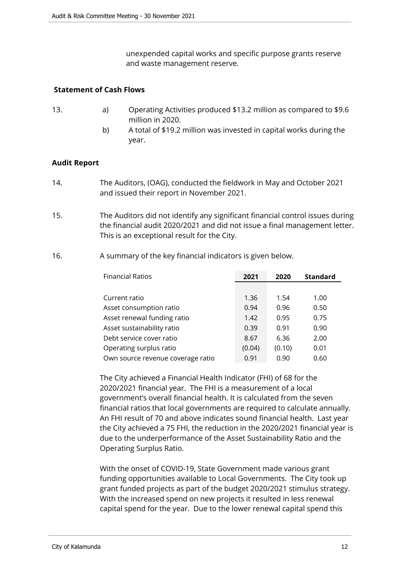unexpended capital works and specific purpose grants reserve and waste management reserve.

#### **Statement of Cash Flows**

- 13. a) Operating Activities produced \$13.2 million as compared to \$9.6 million in 2020.
	- b) A total of \$19.2 million was invested in capital works during the year.

#### **Audit Report**

- 14. The Auditors, (OAG), conducted the fieldwork in May and October 2021 and issued their report in November 2021.
- 15. The Auditors did not identify any significant financial control issues during the financial audit 2020/2021 and did not issue a final management letter. This is an exceptional result for the City.
- 16. A summary of the key financial indicators is given below.

| <b>Financial Ratios</b>           | 2021   | 2020   | <b>Standard</b> |
|-----------------------------------|--------|--------|-----------------|
|                                   |        |        |                 |
| Current ratio                     | 1.36   | 1.54   | 1.00            |
| Asset consumption ratio           | 0.94   | 0.96   | 0.50            |
| Asset renewal funding ratio       | 1.42   | 0.95   | 0.75            |
| Asset sustainability ratio        | 0.39   | 0.91   | 0.90            |
| Debt service cover ratio          | 8.67   | 6.36   | 2.00            |
| Operating surplus ratio           | (0.04) | (0.10) | 0.01            |
| Own source revenue coverage ratio | 0.91   | 0.90   | 0.60            |

The City achieved a Financial Health Indicator (FHI) of 68 for the 2020/2021 financial year. The FHI is a measurement of a local government's overall financial health. It is calculated from the seven financial ratios that local governments are required to calculate annually. An FHI result of 70 and above indicates sound financial health. Last year the City achieved a 75 FHI, the reduction in the 2020/2021 financial year is due to the underperformance of the Asset Sustainability Ratio and the Operating Surplus Ratio.

With the onset of COVID-19, State Government made various grant funding opportunities available to Local Governments. The City took up grant funded projects as part of the budget 2020/2021 stimulus strategy. With the increased spend on new projects it resulted in less renewal capital spend for the year. Due to the lower renewal capital spend this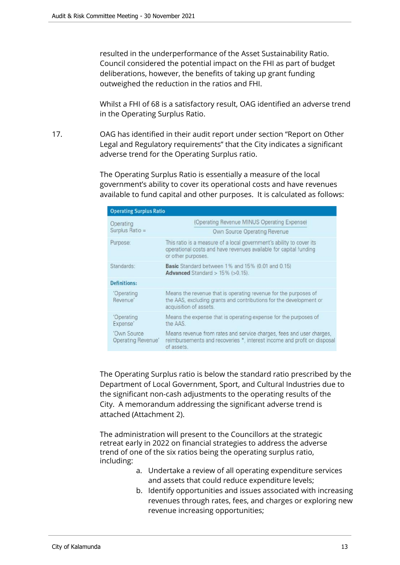resulted in the underperformance of the Asset Sustainability Ratio. Council considered the potential impact on the FHI as part of budget deliberations, however, the benefits of taking up grant funding outweighed the reduction in the ratios and FHI.

Whilst a FHI of 68 is a satisfactory result, OAG identified an adverse trend in the Operating Surplus Ratio.

17. OAG has identified in their audit report under section "Report on Other Legal and Regulatory requirements" that the City indicates a significant adverse trend for the Operating Surplus ratio.

> The Operating Surplus Ratio is essentially a measure of the local government's ability to cover its operational costs and have revenues available to fund capital and other purposes. It is calculated as follows:

| <b>Operating Surplus Ratio</b>                                                                                     |                                                                                                                                                                 |  |  |  |
|--------------------------------------------------------------------------------------------------------------------|-----------------------------------------------------------------------------------------------------------------------------------------------------------------|--|--|--|
| Operating<br>Surplus Ratio =                                                                                       | (Operating Revenue MINUS Operating Expense)<br>Own Source Operating Revenue                                                                                     |  |  |  |
| Purpose:                                                                                                           | This ratio is a measure of a local government's ability to cover its<br>operational costs and have revenues available for capital funding<br>or other purposes. |  |  |  |
| Standards:<br><b>Basic</b> Standard between 1% and 15% (0.01 and 0.15)<br>Advanced Standard $> 15\%$ ( $> 0.15$ ). |                                                                                                                                                                 |  |  |  |
| <b>Definitions:</b>                                                                                                |                                                                                                                                                                 |  |  |  |
| 'Operating<br>Revenue'                                                                                             | Means the revenue that is operating revenue for the purposes of<br>the AAS, excluding grants and contributions for the development or<br>acquisition of assets. |  |  |  |
| 'Operating<br>Expense'                                                                                             | Means the expense that is operating expense for the purposes of<br>the AAS.                                                                                     |  |  |  |
| 'Own Source<br>Operating Revenue'                                                                                  | Means revenue from rates and service charges, fees and user charges,<br>reimbursements and recoveries *, interest income and profit on disposal<br>of assets.   |  |  |  |

The Operating Surplus ratio is below the standard ratio prescribed by the Department of Local Government, Sport, and Cultural Industries due to the significant non-cash adjustments to the operating results of the City. A memorandum addressing the significant adverse trend is attached (Attachment 2).

The administration will present to the Councillors at the strategic retreat early in 2022 on financial strategies to address the adverse trend of one of the six ratios being the operating surplus ratio, including:

- a. Undertake a review of all operating expenditure services and assets that could reduce expenditure levels;
- b. Identify opportunities and issues associated with increasing revenues through rates, fees, and charges or exploring new revenue increasing opportunities;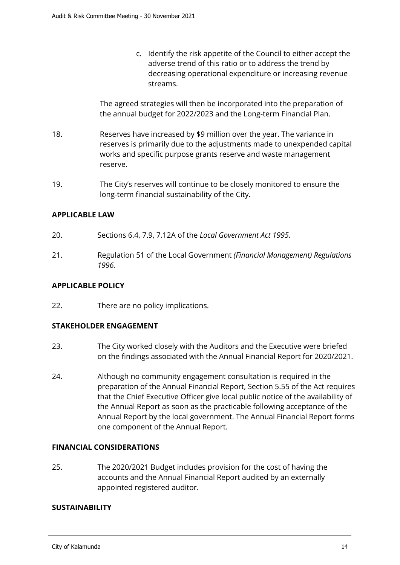c. Identify the risk appetite of the Council to either accept the adverse trend of this ratio or to address the trend by decreasing operational expenditure or increasing revenue streams.

The agreed strategies will then be incorporated into the preparation of the annual budget for 2022/2023 and the Long-term Financial Plan.

- 18. Reserves have increased by \$9 million over the year. The variance in reserves is primarily due to the adjustments made to unexpended capital works and specific purpose grants reserve and waste management reserve.
- 19. The City's reserves will continue to be closely monitored to ensure the long-term financial sustainability of the City.

#### **APPLICABLE LAW**

- 20. Sections 6.4, 7.9, 7.12A of the *Local Government Act 1995*.
- 21. Regulation 51 of the Local Government *(Financial Management) Regulations 1996.*

#### **APPLICABLE POLICY**

22. There are no policy implications.

#### **STAKEHOLDER ENGAGEMENT**

- 23. The City worked closely with the Auditors and the Executive were briefed on the findings associated with the Annual Financial Report for 2020/2021.
- 24. Although no community engagement consultation is required in the preparation of the Annual Financial Report, Section 5.55 of the Act requires that the Chief Executive Officer give local public notice of the availability of the Annual Report as soon as the practicable following acceptance of the Annual Report by the local government. The Annual Financial Report forms one component of the Annual Report.

#### **FINANCIAL CONSIDERATIONS**

25. The 2020/2021 Budget includes provision for the cost of having the accounts and the Annual Financial Report audited by an externally appointed registered auditor.

#### **SUSTAINABILITY**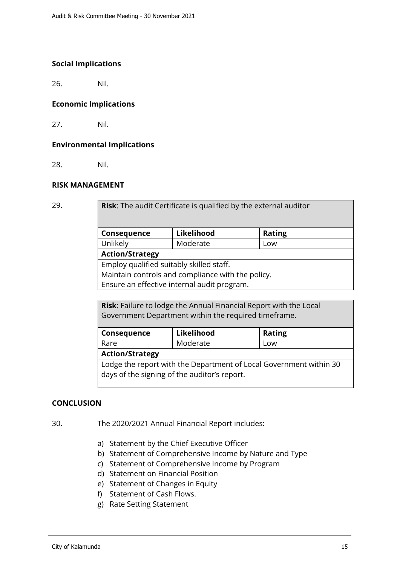#### **Social Implications**

26. Nil.

#### **Economic Implications**

27. Nil.

#### **Environmental Implications**

28. Nil.

#### **RISK MANAGEMENT**

| ٧<br>v |         |   |
|--------|---------|---|
|        | ۰.<br>v | ł |

Risk: The audit Certificate is qualified by the external auditor **Consequence Likelihood Rating** Unlikely | Moderate | Low **Action/Strategy**

Employ qualified suitably skilled staff.

Maintain controls and compliance with the policy.

Ensure an effective internal audit program.

**Risk**: Failure to lodge the Annual Financial Report with the Local Government Department within the required timeframe.

| Consequence                                                        | Likelihood | <b>Rating</b><br>Low |  |  |  |
|--------------------------------------------------------------------|------------|----------------------|--|--|--|
| Rare                                                               | Moderate   |                      |  |  |  |
| <b>Action/Strategy</b>                                             |            |                      |  |  |  |
| Lodge the report with the Department of Local Government within 30 |            |                      |  |  |  |
| days of the signing of the auditor's report.                       |            |                      |  |  |  |

#### **CONCLUSION**

30. The 2020/2021 Annual Financial Report includes:

- a) Statement by the Chief Executive Officer
- b) Statement of Comprehensive Income by Nature and Type
- c) Statement of Comprehensive Income by Program
- d) Statement on Financial Position
- e) Statement of Changes in Equity
- f) Statement of Cash Flows.
- g) Rate Setting Statement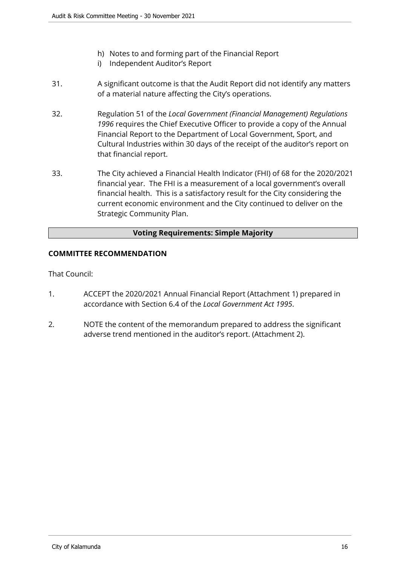- h) Notes to and forming part of the Financial Report
- i) Independent Auditor's Report
- 31. A significant outcome is that the Audit Report did not identify any matters of a material nature affecting the City's operations.
- 32. Regulation 51 of the *Local Government (Financial Management) Regulations 1996* requires the Chief Executive Officer to provide a copy of the Annual Financial Report to the Department of Local Government, Sport, and Cultural Industries within 30 days of the receipt of the auditor's report on that financial report.
- 33. The City achieved a Financial Health Indicator (FHI) of 68 for the 2020/2021 financial year. The FHI is a measurement of a local government's overall financial health. This is a satisfactory result for the City considering the current economic environment and the City continued to deliver on the Strategic Community Plan.

#### **Voting Requirements: Simple Majority**

#### **COMMITTEE RECOMMENDATION**

That Council:

- 1. ACCEPT the 2020/2021 Annual Financial Report (Attachment 1) prepared in accordance with Section 6.4 of the *Local Government Act 1995*.
- 2. NOTE the content of the memorandum prepared to address the significant adverse trend mentioned in the auditor's report. (Attachment 2).